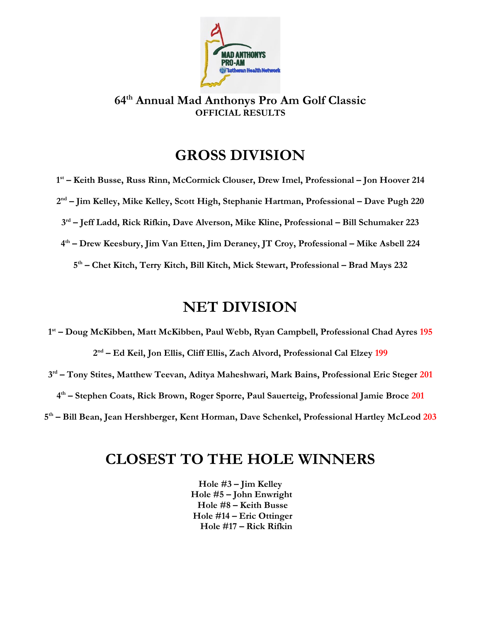

**64th Annual Mad Anthonys Pro Am Golf Classic OFFICIAL RESULTS**

## **GROSS DIVISION**

**1st – Keith Busse, Russ Rinn, McCormick Clouser, Drew Imel, Professional – Jon Hoover 214 2nd – Jim Kelley, Mike Kelley, Scott High, Stephanie Hartman, Professional – Dave Pugh 220 3rd – Jeff Ladd, Rick Rifkin, Dave Alverson, Mike Kline, Professional – Bill Schumaker 223 4th – Drew Keesbury, Jim Van Etten, Jim Deraney, JT Croy, Professional – Mike Asbell 224 5th – Chet Kitch, Terry Kitch, Bill Kitch, Mick Stewart, Professional – Brad Mays 232**

## **NET DIVISION**

**1st – Doug McKibben, Matt McKibben, Paul Webb, Ryan Campbell, Professional Chad Ayres 195 2nd – Ed Keil, Jon Ellis, Cliff Ellis, Zach Alvord, Professional Cal Elzey 199 3rd – Tony Stites, Matthew Teevan, Aditya Maheshwari, Mark Bains, Professional Eric Steger 201 4th – Stephen Coats, Rick Brown, Roger Sporre, Paul Sauerteig, Professional Jamie Broce 201 5th – Bill Bean, Jean Hershberger, Kent Horman, Dave Schenkel, Professional Hartley McLeod 203**

## **CLOSEST TO THE HOLE WINNERS**

**Hole #3 – Jim Kelley Hole #5 – John Enwright Hole #8 – Keith Busse Hole #14 – Eric Ottinger Hole #17 – Rick Rifkin**